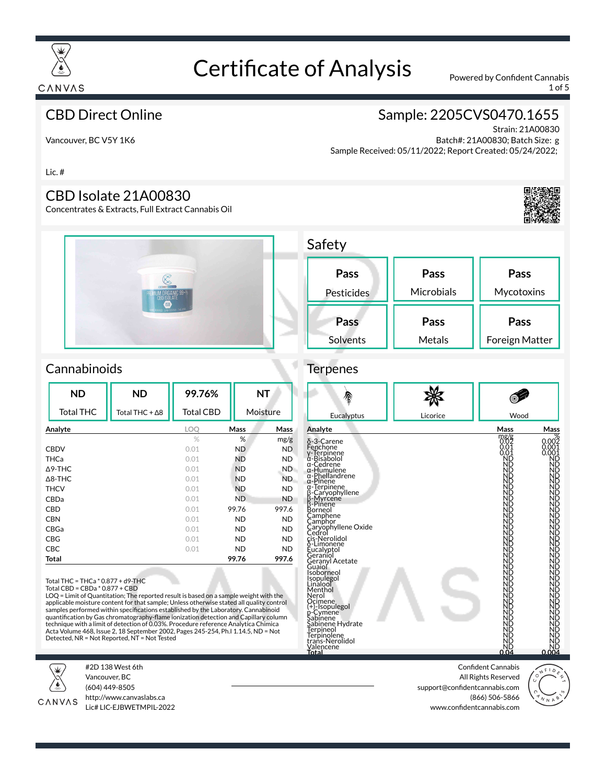

1 of 5

#### CBD Direct Online

### Sample: 2205CVS0470.1655

Vancouver, BC V5Y 1K6

Strain: 21A00830 Batch#: 21A00830; Batch Size: g Sample Received: 05/11/2022; Report Created: 05/24/2022;

Lic. #

#### CBD Isolate 21A00830

Concentrates & Extracts, Full Extract Cannabis Oil





#### **Pass** Pesticides **Pass** Microbials **Pass Mycotoxins Pass** Solvents **Pass** Metals **Pass** Foreign Matter

#### **Cannabinoids**

| <b>ND</b>         | <b>ND</b>              | 99.76%           |             | <b>NT</b> |
|-------------------|------------------------|------------------|-------------|-----------|
| <b>Total THC</b>  | Total THC + $\Delta$ 8 | <b>Total CBD</b> |             | Moisture  |
| Analyte           |                        | <b>LOO</b>       | <b>Mass</b> | Mass      |
|                   |                        | %                | %           | mg/g      |
| <b>CBDV</b>       |                        | 0.01             | <b>ND</b>   | <b>ND</b> |
| <b>THCa</b>       |                        | 0.01             | <b>ND</b>   | <b>ND</b> |
| $\triangle$ 9-THC |                        | 0.01             | <b>ND</b>   | ND.       |
| $\triangle$ 8-THC |                        | 0.01             | <b>ND</b>   | ND.       |
| <b>THCV</b>       |                        | 0.01             | <b>ND</b>   | <b>ND</b> |
| CBDa              |                        | 0.01             | ND.         | <b>ND</b> |
| <b>CBD</b>        |                        | 0.01             | 99.76       | 997.6     |
| <b>CBN</b>        |                        | 0.01             | <b>ND</b>   | <b>ND</b> |
| CBGa              |                        | 0.01             | <b>ND</b>   | <b>ND</b> |
| <b>CBG</b>        |                        | 0.01             | <b>ND</b>   | <b>ND</b> |
| <b>CBC</b>        |                        | 0.01             | <b>ND</b>   | <b>ND</b> |
| Total             |                        |                  | 99.76       | 997.6     |

Total THC = THCa \* 0.877 + d9-THC

Total CBD = CBDa \* 0.877 + CBD

LOQ = Limit of Quantitation; The reported result is based on a sample weight with the applicable moisture content for that sample; Unless otherwise stated all quality control<br>samples performed within specifications established by the Laboratory. Cannabinoid quantification by Gas chromatography-flame ionization detection and Capillary column technique with a limit of detection of 0.03%. Procedure reference Analytica Chimica Acta Volume 468, Issue 2, 18 September 2002, Pages 245-254, Ph.I 1.14.5, ND = Not Detected, NR = Not Reported, NT = Not Tested



#2D 138 West 6th Vancouver, BC (604) 449-8505



http://www.canvaslabs.ca Lic# LIC-EJBWETMPIL-2022

Confident Cannabis All Rights Reserved support@confidentcannabis.com (866) 506-5866 www.confidentcannabis.com



## **Terpenes**

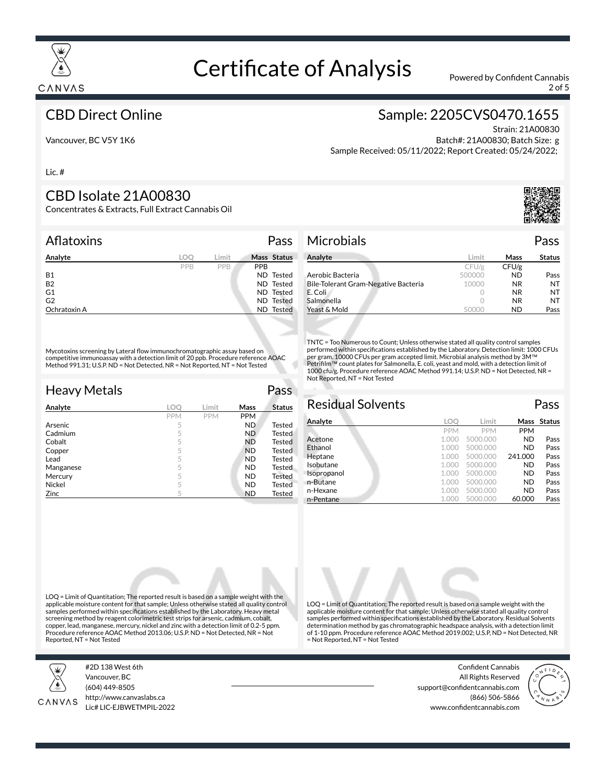

2 of 5

#### CBD Direct Online

### Sample: 2205CVS0470.1655

Vancouver, BC V5Y 1K6

#### Strain: 21A00830 Batch#: 21A00830; Batch Size: g Sample Received: 05/11/2022; Report Created: 05/24/2022;

Lic. #

#### CBD Isolate 21A00830

Concentrates & Extracts, Full Extract Cannabis Oil

#### Aflatoxins Pass

| Analyte        | LOO | Limit |            | Mass Status |
|----------------|-----|-------|------------|-------------|
|                | PPB | PPB   | <b>PPB</b> |             |
| <b>B1</b>      |     |       |            | ND Tested   |
| <b>B2</b>      |     |       |            | ND Tested   |
| G <sub>1</sub> |     |       |            | ND Tested   |
| G <sub>2</sub> |     |       |            | ND Tested   |
| Ochratoxin A   |     |       |            | ND Tested   |

Mycotoxins screening by Lateral flow immunochromatographic assay based on competitive immunoassay with a detection limit of 20 ppb. Procedure reference AOAC Method 991.31; U.S.P. ND = Not Detected, NR = Not Reported, NT = Not Tested

| <b>Heavy Metals</b> |            |            |            | Pass          |
|---------------------|------------|------------|------------|---------------|
| Analyte             | LOO        | Limit      | Mass       | <b>Status</b> |
|                     | <b>PPM</b> | <b>PPM</b> | <b>PPM</b> |               |
| Arsenic             | 5          |            | <b>ND</b>  | <b>Tested</b> |
| Cadmium             | 5          |            | ND.        | <b>Tested</b> |
| Cobalt              | 5          |            | <b>ND</b>  | <b>Tested</b> |
| Copper              | 5          |            | <b>ND</b>  | Tested        |
| Lead                | 5          |            | <b>ND</b>  | <b>Tested</b> |
| Manganese           | 5          |            | <b>ND</b>  | <b>Tested</b> |
| Mercury             | 5          |            | <b>ND</b>  | Tested        |
| Nickel              | 5          |            | <b>ND</b>  | Tested        |
| Zinc                | 5          |            | <b>ND</b>  | Tested        |

#### Microbials Pass

| Analyte                              | Limit  | Mass      | <b>Status</b> |
|--------------------------------------|--------|-----------|---------------|
|                                      | CFU/g  | CFU/g     |               |
| Aerobic Bacteria                     | 500000 | <b>ND</b> | Pass          |
| Bile-Tolerant Gram-Negative Bacteria | 10000  | NR.       | NT            |
| E. Coli                              |        | NR.       | NT            |
| Salmonella                           |        | NR.       | NT            |
| Yeast & Mold                         |        | ND        | Pass          |

TNTC = Too Numerous to Count; Unless otherwise stated all quality control samples performed within specifications established by the Laboratory. Detection limit: 1000 CFUs per gram. 10000 CFUs per gram accepted limit. Microbial analysis method by 3M™<br>Petrifilm™ count plates for Salmonella, E. coli, yeast and mold, with a detection limit of 1000 cfu/g. Procedure reference AOAC Method 991.14; U.S.P. ND = Not Detected, NR = Not Reported, NT = Not Tested

#### Residual Solvents Pass **Analyte LOQ Limit Mass Status** PPM PPM PPM<br>1.000 5000.000 ND Acetone 1.000 5000.000 ND Pass **Ethanol 1.000 5000.000 ND Pass** Heptane 1.000 5000.000 241.000 Pass **Isobutane 1.000 5000.000 ND Pass**<br>**Isopropanol** 1.000 5000.000 **ND Pass Isopropanol 1.000 5000.000 ND** n-Butane 1.000 5000.000 **ND** Pass n-Hexane 1.000 5000.000 **ND** Pass n-Pentane 1.000 5000.000 60.000 Pass

LOQ = Limit of Quantitation; The reported result is based on a sample weight with the applicable moisture content for that sample; Unless otherwise stated all quality control samples performed within specifications established by the Laboratory. Residual Solvents determination method by gas chromatographic headspace analysis, with a detection limit of 1-10 ppm. Procedure reference AOAC Method 2019.002; U.S.P, ND = Not Detected, NR

= Not Reported, NT = Not Tested

LOQ = Limit of Quantitation; The reported result is based on a sample weight with the applicable moisture content for that sample; Unless otherwise stated all quality control samples performed within specifications established by the Laboratory. Heavy metal screening method by reagent colorimetric test strips for arsenic, cadmium, cobalt, copper, lead, manganese, mercury, nickel and zinc with a detection limit of 0.2-5 ppm. Procedure reference AOAC Method 2013.06; U.S.P. ND = Not Detected, NR = Not Reported, NT = Not Tested



#2D 138 West 6th Vancouver, BC (604) 449-8505



Confident Cannabis All Rights Reserved support@confidentcannabis.com (866) 506-5866 www.confidentcannabis.com





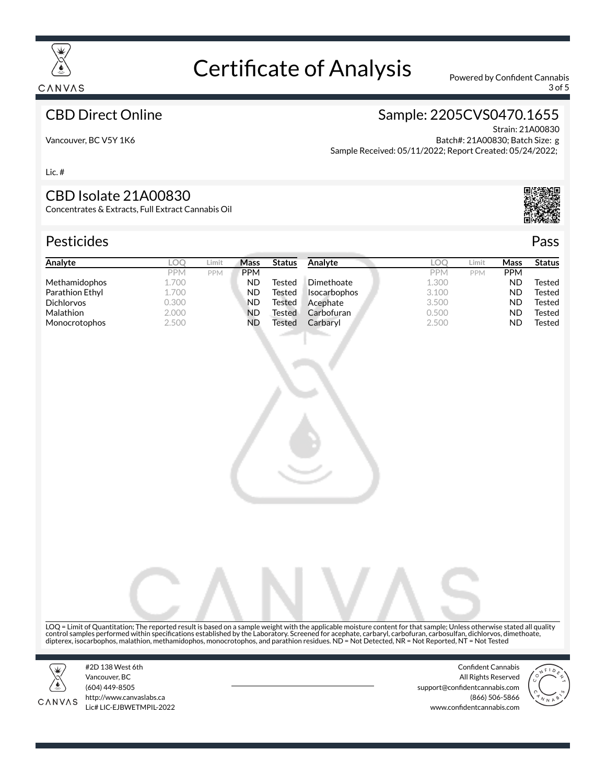

3 of 5

#### CBD Direct Online

### Sample: 2205CVS0470.1655

Vancouver, BC V5Y 1K6

Strain: 21A00830 Batch#: 21A00830; Batch Size: g Sample Received: 05/11/2022; Report Created: 05/24/2022;

Lic. #

#### CBD Isolate 21A00830

Concentrates & Extracts, Full Extract Cannabis Oil

#### Pesticides Pass

| Analyte              | LOO        | Limit      | Mass       | <b>Status</b> | Analyte             | <b>LOC</b> | Limit      | Mass       | <b>Status</b> |
|----------------------|------------|------------|------------|---------------|---------------------|------------|------------|------------|---------------|
|                      | <b>PPM</b> | <b>PPM</b> | <b>PPM</b> |               |                     | <b>PPM</b> | <b>PPM</b> | <b>PPM</b> |               |
| <b>Methamidophos</b> | 1.700      |            | ND         | Tested        | Dimethoate          | 1.300      |            | ND         | Tested        |
| Parathion Ethyl      | 1.700      |            | ND         | Tested        | <b>Isocarbophos</b> | 3.100      |            | ND         | Tested        |
| <b>Dichlorvos</b>    | 0.300      |            | <b>ND</b>  | Tested        | Acephate            | 3.500      |            | ND         | Tested        |
| <b>Malathion</b>     | 2.000      |            | <b>ND</b>  | Tested        | Carbofuran          | 0.500      |            | ND         | Tested        |
| <b>Monocrotophos</b> | 2.500      |            | ND         | Tested        | Carbaryl            | 2.500      |            | <b>ND</b>  | Tested        |
|                      |            |            |            |               |                     |            |            |            |               |



LOQ = Limit of Quantitation; The reported result is based on a sample weight with the applicable moisture content for that sample; Unless otherwise stated all quality control samples performed within specifications established by the Laboratory. Screened for acephate, carbaryl, carbofuran, carbosulfan, dichlorvos, dimethoate,<br>dipterex, isocarbophos, malathion, methamidophos, monocrotoph



CANVAS

#2D 138 West 6th Vancouver, BC (604) 449-8505 http://www.canvaslabs.ca Lic# LIC-EJBWETMPIL-2022

Confident Cannabis All Rights Reserved support@confidentcannabis.com (866) 506-5866 www.confidentcannabis.com

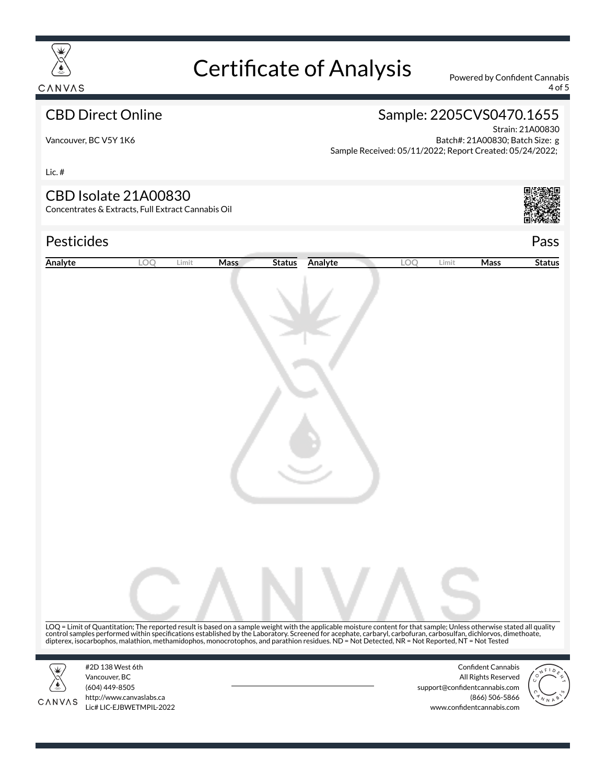

4 of 5

### CBD Direct Online

### Sample: 2205CVS0470.1655

Vancouver, BC V5Y 1K6

Strain: 21A00830 Batch#: 21A00830; Batch Size: g Sample Received: 05/11/2022; Report Created: 05/24/2022;

Lic. #

#### CBD Isolate 21A00830

Concentrates & Extracts, Full Extract Cannabis Oil

## Pesticides Pass



| Analyte | LOQ                                                                                                                                                                                                                                                                                                               | Limit | Mass | <b>Status</b> | Analyte | LOQ | Limit | Mass                                                                                                | <b>Status</b> |
|---------|-------------------------------------------------------------------------------------------------------------------------------------------------------------------------------------------------------------------------------------------------------------------------------------------------------------------|-------|------|---------------|---------|-----|-------|-----------------------------------------------------------------------------------------------------|---------------|
|         |                                                                                                                                                                                                                                                                                                                   |       |      |               |         |     |       |                                                                                                     |               |
| CANVAS  | LOQ = Limit of Quantitation; The reported result is based on a sample weight with the applicable moisture content for that sample; Unless otherwise stated all quality control samples performed within specifications establi<br>#2D 138 West 6th<br>Vancouver, BC<br>(604) 449-8505<br>http://www.canvaslabs.ca |       |      |               |         |     |       | <b>Confident Cannabis</b><br>All Rights Reserved<br>support@confidentcannabis.com<br>(866) 506-5866 |               |